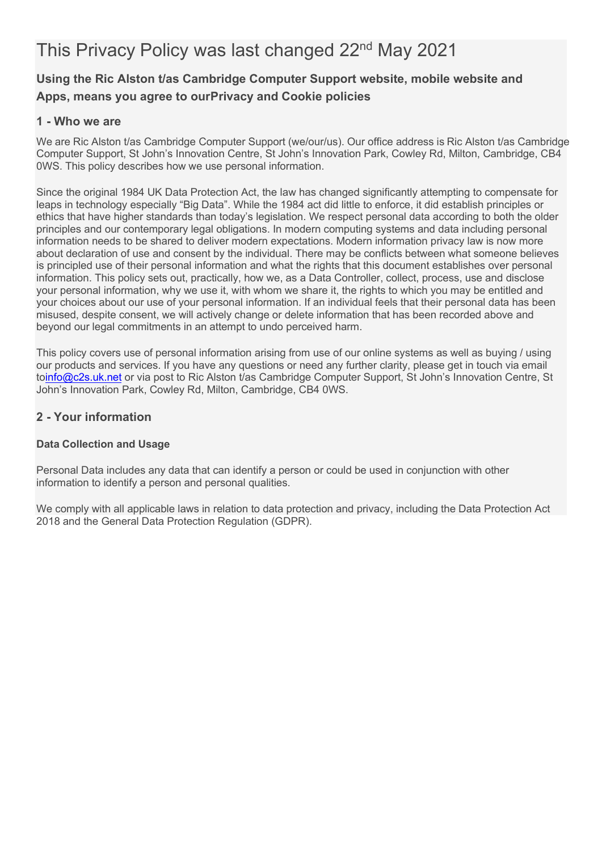# This Privacy Policy was last changed 22<sup>nd</sup> May 2021

## **Using the Ric Alston t/as Cambridge Computer Support website, mobile website and Apps, means you agree to ourPrivacy and Cookie policies**

## **1 - Who we are**

We are Ric Alston t/as Cambridge Computer Support (we/our/us). Our office address is Ric Alston t/as Cambridge Computer Support, St John's Innovation Centre, St John's Innovation Park, Cowley Rd, Milton, Cambridge, CB4 0WS. This policy describes how we use personal information.

Since the original 1984 UK Data Protection Act, the law has changed significantly attempting to compensate for leaps in technology especially "Big Data". While the 1984 act did little to enforce, it did establish principles or ethics that have higher standards than today's legislation. We respect personal data according to both the older principles and our contemporary legal obligations. In modern computing systems and data including personal information needs to be shared to deliver modern expectations. Modern information privacy law is now more about declaration of use and consent by the individual. There may be conflicts between what someone believes is principled use of their personal information and what the rights that this document establishes over personal information. This policy sets out, practically, how we, as a Data Controller, collect, process, use and disclose your personal information, why we use it, with whom we share it, the rights to which you may be entitled and your choices about our use of your personal information. If an individual feels that their personal data has been misused, despite consent, we will actively change or delete information that has been recorded above and beyond our legal commitments in an attempt to undo perceived harm.

This policy covers use of personal information arising from use of our online systems as well as buying / using our products and services. If you have any questions or need any further clarity, please get in touch via email t[oinfo@c2s.uk.net](mailto:info@c2s.uk.net) or via post to Ric Alston t/as Cambridge Computer Support, St John's Innovation Centre, St John's Innovation Park, Cowley Rd, Milton, Cambridge, CB4 0WS.

## **2 - Your information**

## **Data Collection and Usage**

Personal Data includes any data that can identify a person or could be used in conjunction with other information to identify a person and personal qualities.

We comply with all applicable laws in relation to data protection and privacy, including the Data Protection Act 2018 and the General Data Protection Regulation (GDPR).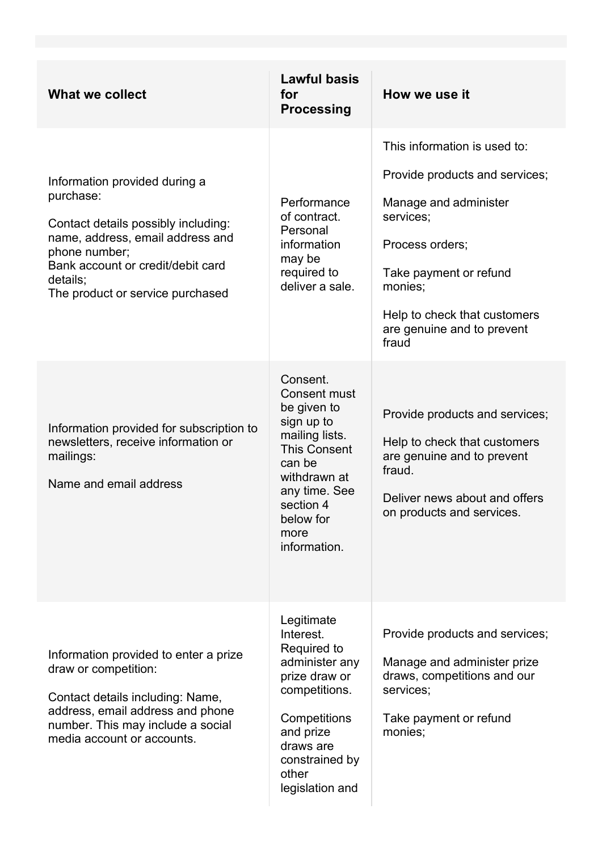| <b>What we collect</b>                                                                                                                                                                                                      | <b>Lawful basis</b><br>for<br><b>Processing</b>                                                                                                                                                    | How we use it                                                                                                                                                                                                                       |
|-----------------------------------------------------------------------------------------------------------------------------------------------------------------------------------------------------------------------------|----------------------------------------------------------------------------------------------------------------------------------------------------------------------------------------------------|-------------------------------------------------------------------------------------------------------------------------------------------------------------------------------------------------------------------------------------|
| Information provided during a<br>purchase:<br>Contact details possibly including:<br>name, address, email address and<br>phone number;<br>Bank account or credit/debit card<br>details;<br>The product or service purchased | Performance<br>of contract.<br>Personal<br>information<br>may be<br>required to<br>deliver a sale.                                                                                                 | This information is used to:<br>Provide products and services;<br>Manage and administer<br>services;<br>Process orders;<br>Take payment or refund<br>monies;<br>Help to check that customers<br>are genuine and to prevent<br>fraud |
| Information provided for subscription to<br>newsletters, receive information or<br>mailings:<br>Name and email address                                                                                                      | Consent.<br><b>Consent must</b><br>be given to<br>sign up to<br>mailing lists.<br><b>This Consent</b><br>can be<br>withdrawn at<br>any time. See<br>section 4<br>below for<br>more<br>information. | Provide products and services;<br>Help to check that customers<br>are genuine and to prevent<br>fraud.<br>Deliver news about and offers<br>on products and services.                                                                |
| Information provided to enter a prize<br>draw or competition:<br>Contact details including: Name,<br>address, email address and phone<br>number. This may include a social<br>media account or accounts.                    | Legitimate<br>Interest.<br>Required to<br>administer any<br>prize draw or<br>competitions.<br>Competitions<br>and prize<br>draws are<br>constrained by<br>other<br>legislation and                 | Provide products and services;<br>Manage and administer prize<br>draws, competitions and our<br>services;<br>Take payment or refund<br>monies;                                                                                      |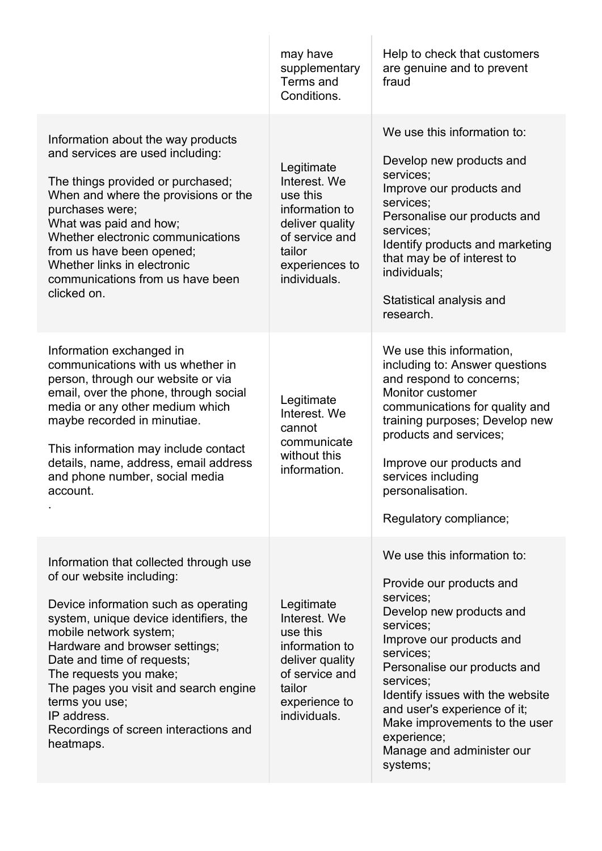|                                                                                                                                                                                                                                                                                                                                                                                                           | may have<br>supplementary<br>Terms and<br>Conditions.                                                                                     | Help to check that customers<br>are genuine and to prevent<br>fraud                                                                                                                                                                                                                                                                                              |
|-----------------------------------------------------------------------------------------------------------------------------------------------------------------------------------------------------------------------------------------------------------------------------------------------------------------------------------------------------------------------------------------------------------|-------------------------------------------------------------------------------------------------------------------------------------------|------------------------------------------------------------------------------------------------------------------------------------------------------------------------------------------------------------------------------------------------------------------------------------------------------------------------------------------------------------------|
| Information about the way products<br>and services are used including:<br>The things provided or purchased;<br>When and where the provisions or the<br>purchases were;<br>What was paid and how;<br>Whether electronic communications<br>from us have been opened;<br>Whether links in electronic<br>communications from us have been<br>clicked on.                                                      | Legitimate<br>Interest. We<br>use this<br>information to<br>deliver quality<br>of service and<br>tailor<br>experiences to<br>individuals. | We use this information to:<br>Develop new products and<br>services;<br>Improve our products and<br>services;<br>Personalise our products and<br>services;<br>Identify products and marketing<br>that may be of interest to<br>individuals;<br>Statistical analysis and<br>research.                                                                             |
| Information exchanged in<br>communications with us whether in<br>person, through our website or via<br>email, over the phone, through social<br>media or any other medium which<br>maybe recorded in minutiae.<br>This information may include contact<br>details, name, address, email address<br>and phone number, social media<br>account.                                                             | Legitimate<br>Interest. We<br>cannot<br>communicate<br>without this<br>information.                                                       | We use this information,<br>including to: Answer questions<br>and respond to concerns;<br>Monitor customer<br>communications for quality and<br>training purposes; Develop new<br>products and services;<br>Improve our products and<br>services including<br>personalisation.<br>Regulatory compliance;                                                         |
| Information that collected through use<br>of our website including:<br>Device information such as operating<br>system, unique device identifiers, the<br>mobile network system;<br>Hardware and browser settings;<br>Date and time of requests;<br>The requests you make;<br>The pages you visit and search engine<br>terms you use;<br>IP address.<br>Recordings of screen interactions and<br>heatmaps. | Legitimate<br>Interest. We<br>use this<br>information to<br>deliver quality<br>of service and<br>tailor<br>experience to<br>individuals.  | We use this information to:<br>Provide our products and<br>services;<br>Develop new products and<br>services;<br>Improve our products and<br>services;<br>Personalise our products and<br>services;<br>Identify issues with the website<br>and user's experience of it;<br>Make improvements to the user<br>experience;<br>Manage and administer our<br>systems; |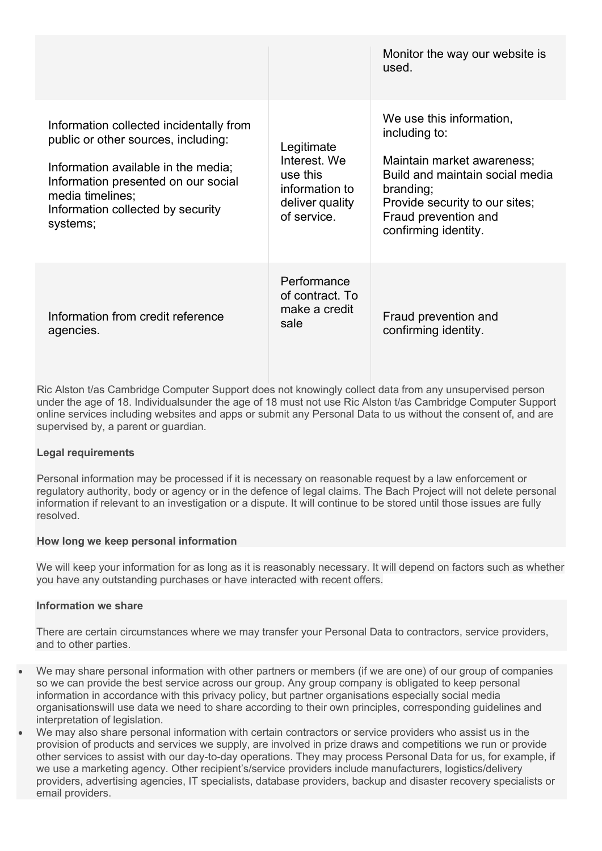|                                                                                                                                                                                                                                   |                                                                                            | Monitor the way our website is<br>used.                                                                                                                                                                   |
|-----------------------------------------------------------------------------------------------------------------------------------------------------------------------------------------------------------------------------------|--------------------------------------------------------------------------------------------|-----------------------------------------------------------------------------------------------------------------------------------------------------------------------------------------------------------|
| Information collected incidentally from<br>public or other sources, including:<br>Information available in the media;<br>Information presented on our social<br>media timelines;<br>Information collected by security<br>systems; | Legitimate<br>Interest. We<br>use this<br>information to<br>deliver quality<br>of service. | We use this information,<br>including to:<br>Maintain market awareness:<br>Build and maintain social media<br>branding;<br>Provide security to our sites;<br>Fraud prevention and<br>confirming identity. |
| Information from credit reference<br>agencies.                                                                                                                                                                                    | Performance<br>of contract. To<br>make a credit<br>sale                                    | Fraud prevention and<br>confirming identity.                                                                                                                                                              |

Ric Alston t/as Cambridge Computer Support does not knowingly collect data from any unsupervised person under the age of 18. Individualsunder the age of 18 must not use Ric Alston t/as Cambridge Computer Support online services including websites and apps or submit any Personal Data to us without the consent of, and are supervised by, a parent or guardian.

#### **Legal requirements**

Personal information may be processed if it is necessary on reasonable request by a law enforcement or regulatory authority, body or agency or in the defence of legal claims. The Bach Project will not delete personal information if relevant to an investigation or a dispute. It will continue to be stored until those issues are fully resolved.

#### **How long we keep personal information**

We will keep your information for as long as it is reasonably necessary. It will depend on factors such as whether you have any outstanding purchases or have interacted with recent offers.

#### **Information we share**

There are certain circumstances where we may transfer your Personal Data to contractors, service providers, and to other parties.

- We may share personal information with other partners or members (if we are one) of our group of companies so we can provide the best service across our group. Any group company is obligated to keep personal information in accordance with this privacy policy, but partner organisations especially social media organisationswill use data we need to share according to their own principles, corresponding guidelines and interpretation of legislation.
- We may also share personal information with certain contractors or service providers who assist us in the provision of products and services we supply, are involved in prize draws and competitions we run or provide other services to assist with our day-to-day operations. They may process Personal Data for us, for example, if we use a marketing agency. Other recipient's/service providers include manufacturers, logistics/delivery providers, advertising agencies, IT specialists, database providers, backup and disaster recovery specialists or email providers.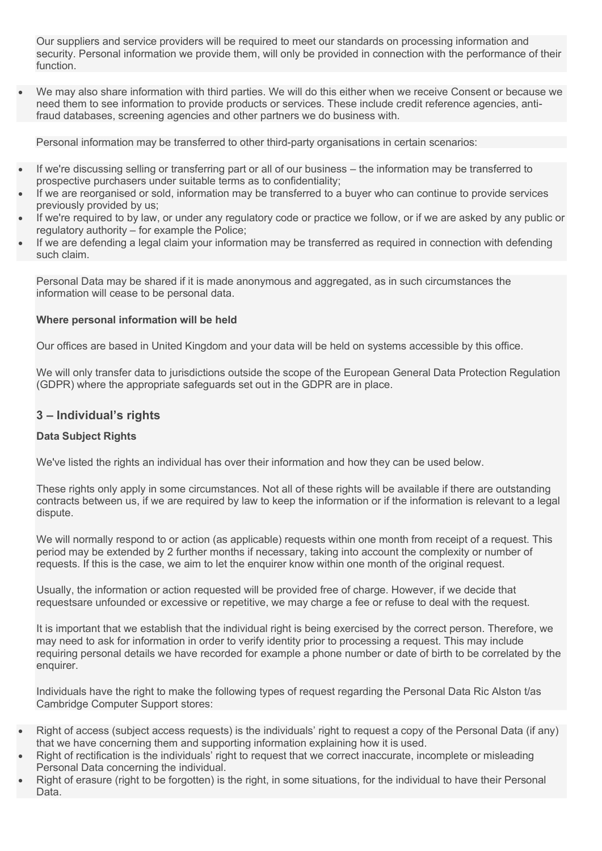Our suppliers and service providers will be required to meet our standards on processing information and security. Personal information we provide them, will only be provided in connection with the performance of their function.

• We may also share information with third parties. We will do this either when we receive Consent or because we need them to see information to provide products or services. These include credit reference agencies, antifraud databases, screening agencies and other partners we do business with.

Personal information may be transferred to other third-party organisations in certain scenarios:

- If we're discussing selling or transferring part or all of our business the information may be transferred to prospective purchasers under suitable terms as to confidentiality;
- If we are reorganised or sold, information may be transferred to a buyer who can continue to provide services previously provided by us;
- If we're required to by law, or under any regulatory code or practice we follow, or if we are asked by any public or regulatory authority – for example the Police;
- If we are defending a legal claim your information may be transferred as required in connection with defending such claim.

Personal Data may be shared if it is made anonymous and aggregated, as in such circumstances the information will cease to be personal data.

### **Where personal information will be held**

Our offices are based in United Kingdom and your data will be held on systems accessible by this office.

We will only transfer data to jurisdictions outside the scope of the European General Data Protection Regulation (GDPR) where the appropriate safeguards set out in the GDPR are in place.

## **3 – Individual's rights**

## **Data Subject Rights**

We've listed the rights an individual has over their information and how they can be used below.

These rights only apply in some circumstances. Not all of these rights will be available if there are outstanding contracts between us, if we are required by law to keep the information or if the information is relevant to a legal dispute.

We will normally respond to or action (as applicable) requests within one month from receipt of a request. This period may be extended by 2 further months if necessary, taking into account the complexity or number of requests. If this is the case, we aim to let the enquirer know within one month of the original request.

Usually, the information or action requested will be provided free of charge. However, if we decide that requestsare unfounded or excessive or repetitive, we may charge a fee or refuse to deal with the request.

It is important that we establish that the individual right is being exercised by the correct person. Therefore, we may need to ask for information in order to verify identity prior to processing a request. This may include requiring personal details we have recorded for example a phone number or date of birth to be correlated by the enquirer.

Individuals have the right to make the following types of request regarding the Personal Data Ric Alston t/as Cambridge Computer Support stores:

- Right of access (subject access requests) is the individuals' right to request a copy of the Personal Data (if any) that we have concerning them and supporting information explaining how it is used.
- Right of rectification is the individuals' right to request that we correct inaccurate, incomplete or misleading Personal Data concerning the individual.
- Right of erasure (right to be forgotten) is the right, in some situations, for the individual to have their Personal Data.